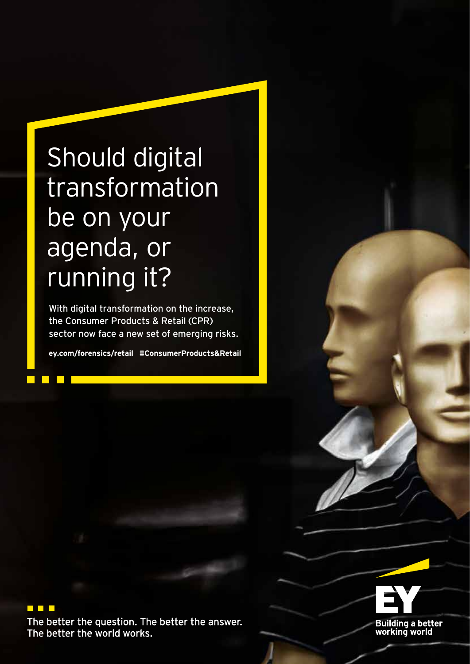## Should digital transformation be on your agenda, or running it?

With digital transformation on the increase, the Consumer Products & Retail (CPR) sector now face a new set of emerging risks.

**ey.com/forensics/retail #ConsumerProducts&Retail**

## $\blacksquare$  .  $\blacksquare$

The better the question. The better the answer. The better the world works.

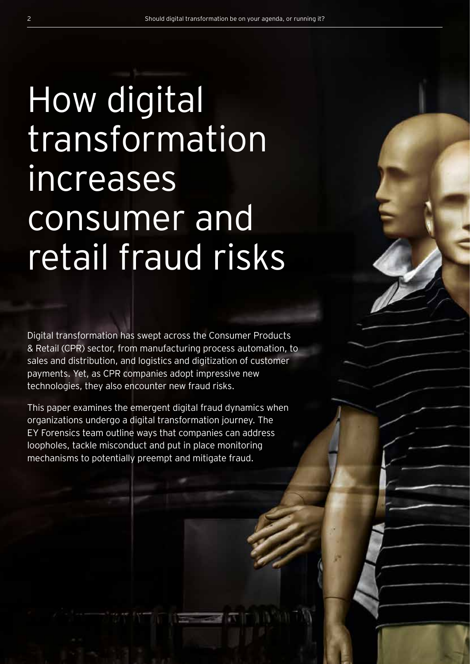# How digital transformation increases consumer and retail fraud risks

Digital transformation has swept across the Consumer Products & Retail (CPR) sector, from manufacturing process automation, to sales and distribution, and logistics and digitization of customer payments. Yet, as CPR companies adopt impressive new technologies, they also encounter new fraud risks.

This paper examines the emergent digital fraud dynamics when organizations undergo a digital transformation journey. The EY Forensics team outline ways that companies can address loopholes, tackle misconduct and put in place monitoring mechanisms to potentially preempt and mitigate fraud.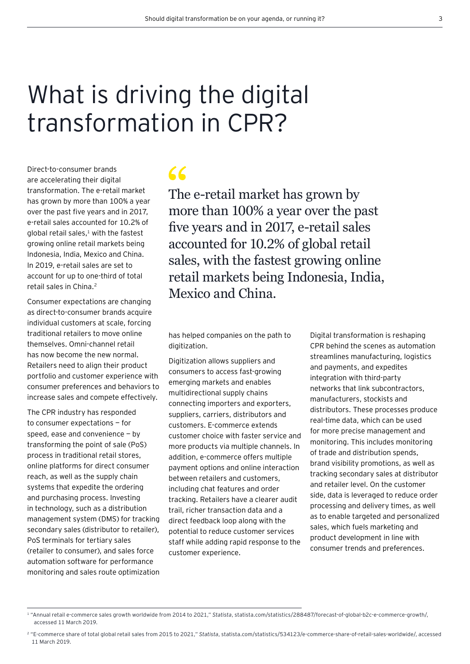## What is driving the digital transformation in CPR?

Direct-to-consumer brands are accelerating their digital transformation. The e-retail market has grown by more than 100% a year over the past five years and in 2017, e-retail sales accounted for 10.2% of global retail sales, $1$  with the fastest growing online retail markets being Indonesia, India, Mexico and China. In 2019, e-retail sales are set to account for up to one-third of total retail sales in China.2

Consumer expectations are changing as direct-to-consumer brands acquire individual customers at scale, forcing traditional retailers to move online themselves. Omni-channel retail has now become the new normal. Retailers need to align their product portfolio and customer experience with consumer preferences and behaviors to increase sales and compete effectively.

The CPR industry has responded to consumer expectations — for speed, ease and convenience — by transforming the point of sale (PoS) process in traditional retail stores, online platforms for direct consumer reach, as well as the supply chain systems that expedite the ordering and purchasing process. Investing in technology, such as a distribution management system (DMS) for tracking secondary sales (distributor to retailer), PoS terminals for tertiary sales (retailer to consumer), and sales force automation software for performance monitoring and sales route optimization

 $\epsilon$ 

The e-retail market has grown by more than 100% a year over the past five years and in 2017, e-retail sales accounted for 10.2% of global retail sales, with the fastest growing online retail markets being Indonesia, India, Mexico and China.

has helped companies on the path to digitization.

Digitization allows suppliers and consumers to access fast-growing emerging markets and enables multidirectional supply chains connecting importers and exporters, suppliers, carriers, distributors and customers. E-commerce extends customer choice with faster service and more products via multiple channels. In addition, e-commerce offers multiple payment options and online interaction between retailers and customers, including chat features and order tracking. Retailers have a clearer audit trail, richer transaction data and a direct feedback loop along with the potential to reduce customer services staff while adding rapid response to the customer experience.

Digital transformation is reshaping CPR behind the scenes as automation streamlines manufacturing, logistics and payments, and expedites integration with third-party networks that link subcontractors, manufacturers, stockists and distributors. These processes produce real-time data, which can be used for more precise management and monitoring. This includes monitoring of trade and distribution spends, brand visibility promotions, as well as tracking secondary sales at distributor and retailer level. On the customer side, data is leveraged to reduce order processing and delivery times, as well as to enable targeted and personalized sales, which fuels marketing and product development in line with consumer trends and preferences.

<sup>1 &</sup>quot;Annual retail e-commerce sales growth worldwide from 2014 to 2021," *Statista*, statista.com/statistics/288487/forecast-of-global-b2c-e-commerce-growth/, accessed 11 March 2019.

<sup>2 &</sup>quot;E-commerce share of total global retail sales from 2015 to 2021," *Statista*, statista.com/statistics/534123/e-commerce-share-of-retail-sales-worldwide/, accessed 11 March 2019.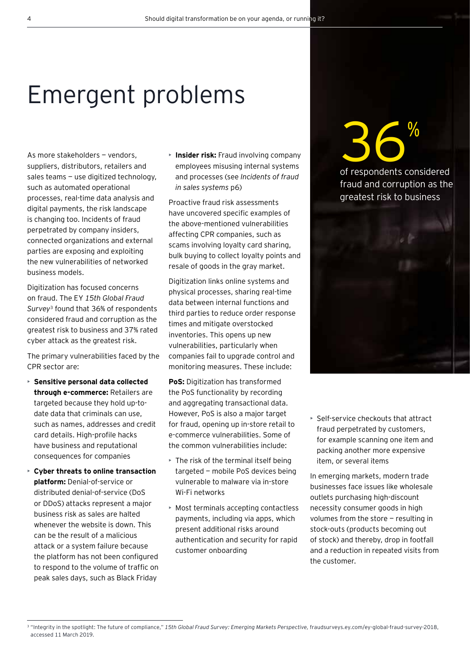## Emergent problems

As more stakeholders — vendors, suppliers, distributors, retailers and sales teams - use digitized technology, such as automated operational processes, real-time data analysis and digital payments, the risk landscape is changing too. Incidents of fraud perpetrated by company insiders, connected organizations and external parties are exposing and exploiting the new vulnerabilities of networked business models.

Digitization has focused concerns on fraud. The EY *15th Global Fraud Survey*3 found that 36% of respondents considered fraud and corruption as the greatest risk to business and 37% rated cyber attack as the greatest risk.

The primary vulnerabilities faced by the CPR sector are:

- **Sensitive personal data collected through e-commerce:** Retailers are targeted because they hold up-todate data that criminals can use, such as names, addresses and credit card details. High-profile hacks have business and reputational consequences for companies
- **Cyber threats to online transaction platform:** Denial-of-service or distributed denial-of-service (DoS or DDoS) attacks represent a major business risk as sales are halted whenever the website is down. This can be the result of a malicious attack or a system failure because the platform has not been configured to respond to the volume of traffic on peak sales days, such as Black Friday

• **Insider risk:** Fraud involving company employees misusing internal systems and processes (see *Incidents of fraud in sales systems* p6)

Proactive fraud risk assessments have uncovered specific examples of the above-mentioned vulnerabilities affecting CPR companies, such as scams involving loyalty card sharing, bulk buying to collect loyalty points and resale of goods in the gray market.

Digitization links online systems and physical processes, sharing real-time data between internal functions and third parties to reduce order response times and mitigate overstocked inventories. This opens up new vulnerabilities, particularly when companies fail to upgrade control and monitoring measures. These include:

**PoS:** Digitization has transformed the PoS functionality by recording and aggregating transactional data. However, PoS is also a major target for fraud, opening up in-store retail to e-commerce vulnerabilities. Some of the common vulnerabilities include:

- The risk of the terminal itself being targeted — mobile PoS devices being vulnerable to malware via in-store Wi-Fi networks
- Most terminals accepting contactless payments, including via apps, which present additional risks around authentication and security for rapid customer onboarding

**36**% of respondents considered fraud and corruption as the greatest risk to business



• Self-service checkouts that attract fraud perpetrated by customers, for example scanning one item and packing another more expensive item, or several items

In emerging markets, modern trade businesses face issues like wholesale outlets purchasing high-discount necessity consumer goods in high volumes from the store — resulting in stock-outs (products becoming out of stock) and thereby, drop in footfall and a reduction in repeated visits from the customer.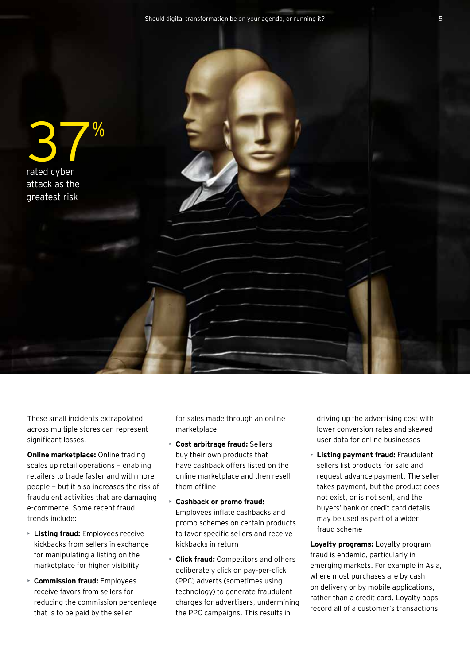

These small incidents extrapolated across multiple stores can represent significant losses.

**Online marketplace:** Online trading scales up retail operations — enabling retailers to trade faster and with more people — but it also increases the risk of fraudulent activities that are damaging e-commerce. Some recent fraud trends include:

- **Listing fraud:** Employees receive kickbacks from sellers in exchange for manipulating a listing on the marketplace for higher visibility
- **Commission fraud:** Employees receive favors from sellers for reducing the commission percentage that is to be paid by the seller

for sales made through an online marketplace

- **Cost arbitrage fraud:** Sellers buy their own products that have cashback offers listed on the online marketplace and then resell them offline
- **Cashback or promo fraud:** Employees inflate cashbacks and promo schemes on certain products to favor specific sellers and receive kickbacks in return
- **Click fraud:** Competitors and others deliberately click on pay-per-click (PPC) adverts (sometimes using technology) to generate fraudulent charges for advertisers, undermining the PPC campaigns. This results in

driving up the advertising cost with lower conversion rates and skewed user data for online businesses

• **Listing payment fraud:** Fraudulent sellers list products for sale and request advance payment. The seller takes payment, but the product does not exist, or is not sent, and the buyers' bank or credit card details may be used as part of a wider fraud scheme

**Loyalty programs:** Loyalty program fraud is endemic, particularly in emerging markets. For example in Asia, where most purchases are by cash on delivery or by mobile applications, rather than a credit card. Loyalty apps record all of a customer's transactions,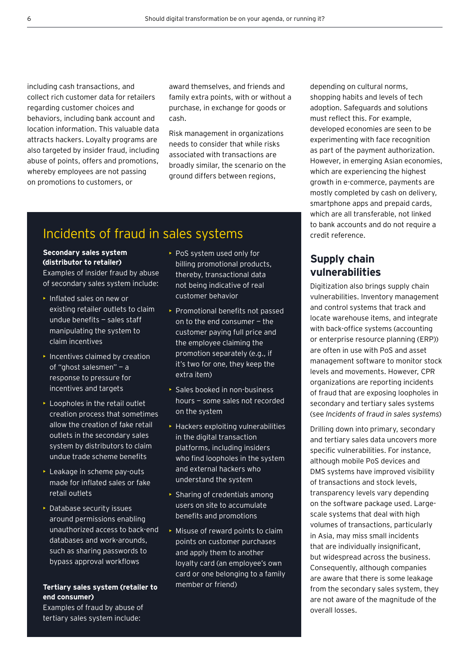including cash transactions, and collect rich customer data for retailers regarding customer choices and behaviors, including bank account and location information. This valuable data attracts hackers. Loyalty programs are also targeted by insider fraud, including abuse of points, offers and promotions, whereby employees are not passing on promotions to customers, or

award themselves, and friends and family extra points, with or without a purchase, in exchange for goods or cash.

Risk management in organizations needs to consider that while risks associated with transactions are broadly similar, the scenario on the ground differs between regions,

## Incidents of fraud in sales systems

#### **Secondary sales system (distributor to retailer)**

Examples of insider fraud by abuse of secondary sales system include:

- Inflated sales on new or existing retailer outlets to claim undue benefits — sales staff manipulating the system to claim incentives
- Incentives claimed by creation of "ghost salesmen" — a response to pressure for incentives and targets
- Loopholes in the retail outlet creation process that sometimes allow the creation of fake retail outlets in the secondary sales system by distributors to claim undue trade scheme benefits
- Leakage in scheme pay-outs made for inflated sales or fake retail outlets
- Database security issues around permissions enabling unauthorized access to back-end databases and work-arounds, such as sharing passwords to bypass approval workflows

#### **Tertiary sales system (retailer to end consumer)**

- PoS system used only for billing promotional products, thereby, transactional data not being indicative of real customer behavior
- **Promotional benefits not passed** on to the end consumer — the customer paying full price and the employee claiming the promotion separately (e.g., if it's two for one, they keep the extra item)
- Sales booked in non-business hours — some sales not recorded on the system
- Hackers exploiting vulnerabilities in the digital transaction platforms, including insiders who find loopholes in the system and external hackers who understand the system
- Sharing of credentials among users on site to accumulate benefits and promotions
- Misuse of reward points to claim points on customer purchases and apply them to another loyalty card (an employee's own card or one belonging to a family member or friend)

depending on cultural norms, shopping habits and levels of tech adoption. Safeguards and solutions must reflect this. For example, developed economies are seen to be experimenting with face recognition as part of the payment authorization. However, in emerging Asian economies, which are experiencing the highest growth in e-commerce, payments are mostly completed by cash on delivery, smartphone apps and prepaid cards, which are all transferable, not linked to bank accounts and do not require a credit reference.

### **Supply chain vulnerabilities**

Digitization also brings supply chain vulnerabilities. Inventory management and control systems that track and locate warehouse items, and integrate with back-office systems (accounting or enterprise resource planning (ERP)) are often in use with PoS and asset management software to monitor stock levels and movements. However, CPR organizations are reporting incidents of fraud that are exposing loopholes in secondary and tertiary sales systems (see *Incidents of fraud in sales systems*)

Drilling down into primary, secondary and tertiary sales data uncovers more specific vulnerabilities. For instance, although mobile PoS devices and DMS systems have improved visibility of transactions and stock levels, transparency levels vary depending on the software package used. Largescale systems that deal with high volumes of transactions, particularly in Asia, may miss small incidents that are individually insignificant, but widespread across the business. Consequently, although companies are aware that there is some leakage from the secondary sales system, they are not aware of the magnitude of the overall losses.

Examples of fraud by abuse of tertiary sales system include: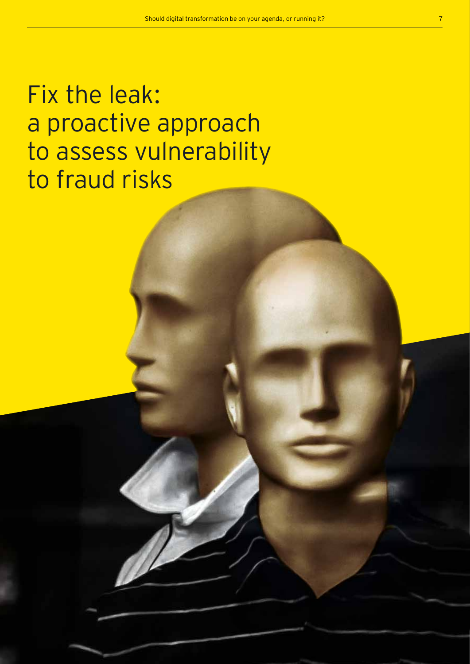Fix the leak: a proactive approach to assess vulnerability to fraud risks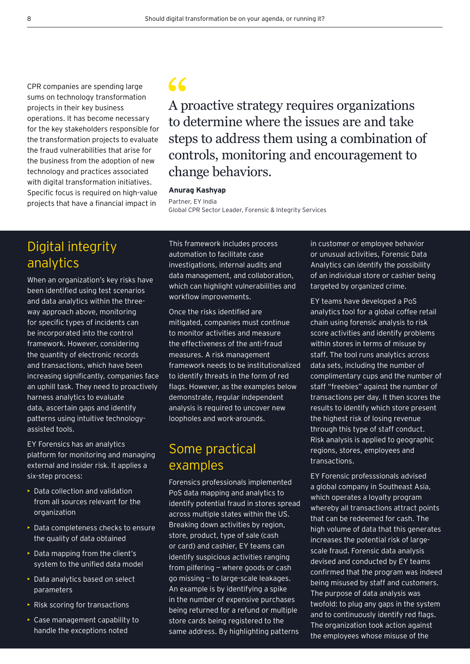CPR companies are spending large sums on technology transformation projects in their key business operations. It has become necessary for the key stakeholders responsible for the transformation projects to evaluate the fraud vulnerabilities that arise for the business from the adoption of new technology and practices associated with digital transformation initiatives. Specific focus is required on high-value projects that have a financial impact in

## $\epsilon$

A proactive strategy requires organizations to determine where the issues are and take steps to address them using a combination of controls, monitoring and encouragement to change behaviors.

#### **Anurag Kashyap**

Partner, EY India

Global CPR Sector Leader, Forensic & Integrity Services

## Digital integrity analytics

When an organization's key risks have been identified using test scenarios and data analytics within the threeway approach above, monitoring for specific types of incidents can be incorporated into the control framework. However, considering the quantity of electronic records and transactions, which have been increasing significantly, companies face an uphill task. They need to proactively harness analytics to evaluate data, ascertain gaps and identify patterns using intuitive technologyassisted tools.

EY Forensics has an analytics platform for monitoring and managing external and insider risk. It applies a six-step process:

- Data collection and validation from all sources relevant for the organization
- Data completeness checks to ensure the quality of data obtained
- Data mapping from the client's system to the unified data model
- Data analytics based on select parameters
- Risk scoring for transactions
- Case management capability to handle the exceptions noted

This framework includes process automation to facilitate case investigations, internal audits and data management, and collaboration, which can highlight vulnerabilities and workflow improvements.

Once the risks identified are mitigated, companies must continue to monitor activities and measure the effectiveness of the anti-fraud measures. A risk management framework needs to be institutionalized to identify threats in the form of red flags. However, as the examples below demonstrate, regular independent analysis is required to uncover new loopholes and work-arounds.

## Some practical examples

Forensics professionals implemented PoS data mapping and analytics to identify potential fraud in stores spread across multiple states within the US. Breaking down activities by region, store, product, type of sale (cash or card) and cashier, EY teams can identify suspicious activities ranging from pilfering - where goods or cash go missing — to large-scale leakages. An example is by identifying a spike in the number of expensive purchases being returned for a refund or multiple store cards being registered to the same address. By highlighting patterns

in customer or employee behavior or unusual activities, Forensic Data Analytics can identify the possibility of an individual store or cashier being targeted by organized crime.

EY teams have developed a PoS analytics tool for a global coffee retail chain using forensic analysis to risk score activities and identify problems within stores in terms of misuse by staff. The tool runs analytics across data sets, including the number of complimentary cups and the number of staff "freebies" against the number of transactions per day. It then scores the results to identify which store present the highest risk of losing revenue through this type of staff conduct. Risk analysis is applied to geographic regions, stores, employees and transactions.

EY Forensic professsionals advised a global company in Southeast Asia, which operates a loyalty program whereby all transactions attract points that can be redeemed for cash. The high volume of data that this generates increases the potential risk of largescale fraud. Forensic data analysis devised and conducted by EY teams confirmed that the program was indeed being misused by staff and customers. The purpose of data analysis was twofold: to plug any gaps in the system and to continuously identify red flags. The organization took action against the employees whose misuse of the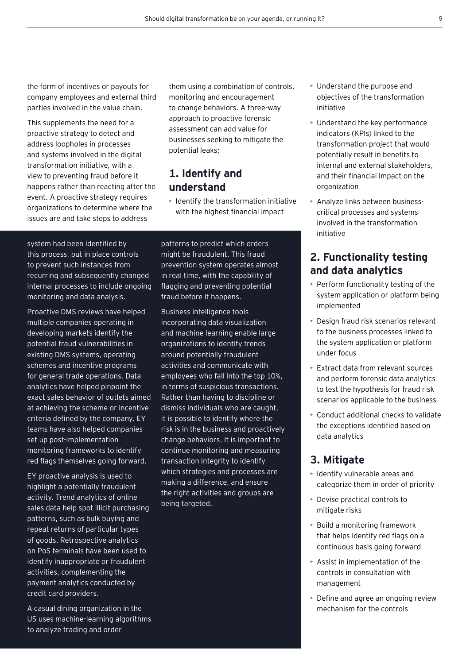the form of incentives or payouts for company employees and external third parties involved in the value chain.

This supplements the need for a proactive strategy to detect and address loopholes in processes and systems involved in the digital transformation initiative, with a view to preventing fraud before it happens rather than reacting after the event. A proactive strategy requires organizations to determine where the issues are and take steps to address

them using a combination of controls, monitoring and encouragement to change behaviors. A three-way approach to proactive forensic assessment can add value for businesses seeking to mitigate the potential leaks;

### **1. Identify and understand**

• Identify the transformation initiative with the highest financial impact

system had been identified by this process, put in place controls to prevent such instances from recurring and subsequently changed internal processes to include ongoing monitoring and data analysis.

Proactive DMS reviews have helped multiple companies operating in developing markets identify the potential fraud vulnerabilities in existing DMS systems, operating schemes and incentive programs for general trade operations. Data analytics have helped pinpoint the exact sales behavior of outlets aimed at achieving the scheme or incentive criteria defined by the company. EY teams have also helped companies set up post-implementation monitoring frameworks to identify red flags themselves going forward.

EY proactive analysis is used to highlight a potentially fraudulent activity. Trend analytics of online sales data help spot illicit purchasing patterns, such as bulk buying and repeat returns of particular types of goods. Retrospective analytics on PoS terminals have been used to identify inappropriate or fraudulent activities, complementing the payment analytics conducted by credit card providers.

A casual dining organization in the US uses machine-learning algorithms to analyze trading and order

patterns to predict which orders might be fraudulent. This fraud prevention system operates almost in real time, with the capability of flagging and preventing potential fraud before it happens.

Business intelligence tools incorporating data visualization and machine learning enable large organizations to identify trends around potentially fraudulent activities and communicate with employees who fall into the top 10%, in terms of suspicious transactions. Rather than having to discipline or dismiss individuals who are caught, it is possible to identify where the risk is in the business and proactively change behaviors. It is important to continue monitoring and measuring transaction integrity to identify which strategies and processes are making a difference, and ensure the right activities and groups are being targeted.

- Understand the purpose and objectives of the transformation initiative
- Understand the key performance indicators (KPIs) linked to the transformation project that would potentially result in benefits to internal and external stakeholders, and their financial impact on the organization
- Analyze links between businesscritical processes and systems involved in the transformation initiative

## **2. Functionality testing and data analytics**

- Perform functionality testing of the system application or platform being implemented
- Design fraud risk scenarios relevant to the business processes linked to the system application or platform under focus
- Extract data from relevant sources and perform forensic data analytics to test the hypothesis for fraud risk scenarios applicable to the business
- Conduct additional checks to validate the exceptions identified based on data analytics

## **3. Mitigate**

- $\triangleright$  Identify vulnerable areas and categorize them in order of priority
- Devise practical controls to mitigate risks
- Build a monitoring framework that helps identify red flags on a continuous basis going forward
- $\triangleright$  Assist in implementation of the controls in consultation with management
- Define and agree an ongoing review mechanism for the controls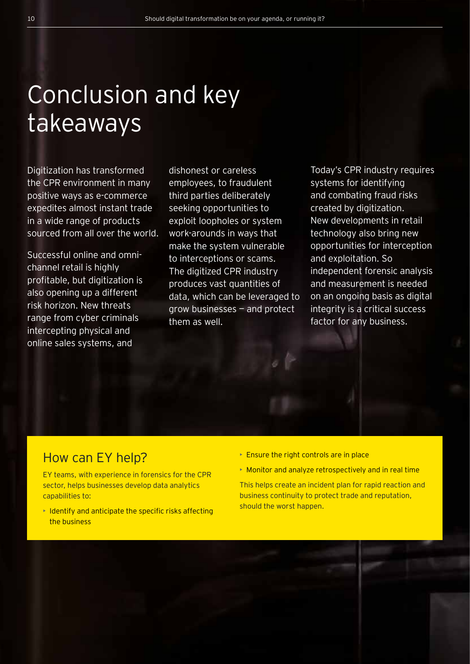## Conclusion and key takeaways

Digitization has transformed the CPR environment in many positive ways as e-commerce expedites almost instant trade in a wide range of products sourced from all over the world.

Successful online and omnichannel retail is highly profitable, but digitization is also opening up a different risk horizon. New threats range from cyber criminals intercepting physical and online sales systems, and

dishonest or careless employees, to fraudulent third parties deliberately seeking opportunities to exploit loopholes or system work-arounds in ways that make the system vulnerable to interceptions or scams. The digitized CPR industry produces vast quantities of data, which can be leveraged to grow businesses — and protect them as well.

Today's CPR industry requires systems for identifying and combating fraud risks created by digitization. New developments in retail technology also bring new opportunities for interception and exploitation. So independent forensic analysis and measurement is needed on an ongoing basis as digital integrity is a critical success factor for any business.

## How can EY help?

EY teams, with experience in forensics for the CPR sector, helps businesses develop data analytics capabilities to:

- Identify and anticipate the specific risks affecting the business
- **Ensure the right controls are in place**
- Monitor and analyze retrospectively and in real time

This helps create an incident plan for rapid reaction and business continuity to protect trade and reputation, should the worst happen.